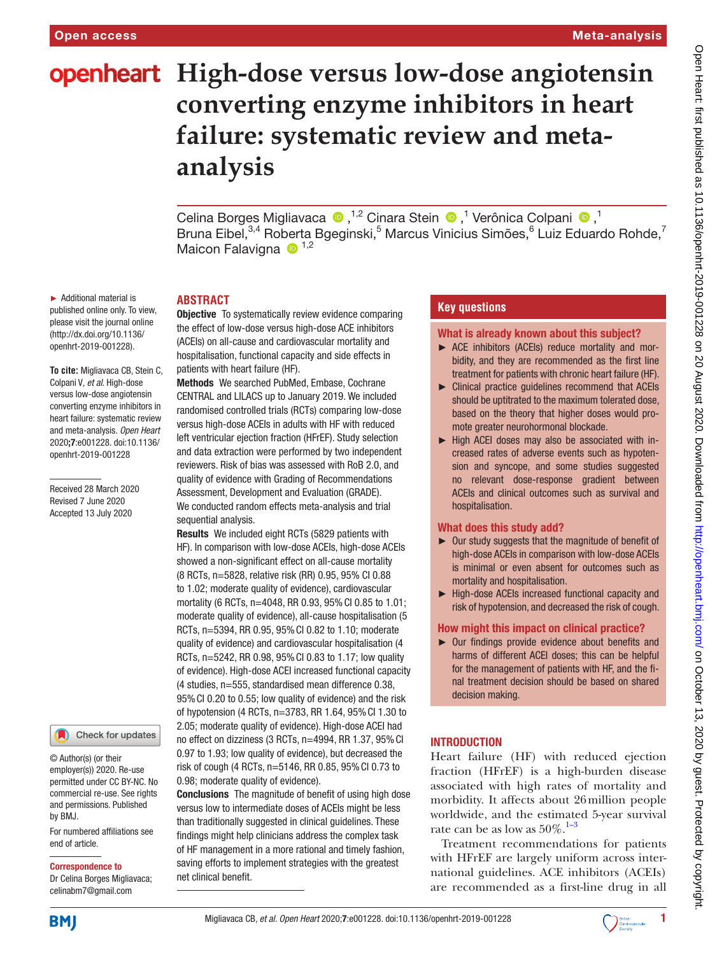# **openheart** High-dose versus low-dose angiotensin **converting enzyme inhibitors in heart failure: systematic review and metaanalysis**

Celina Borges Migliavaca (D,<sup>1,2</sup> Cinara Stein (D,<sup>1</sup> Verônica Colpani (D,<sup>1</sup>) Bruna Eibel, $^{3,4}$  Roberta Bgeginski, $^5$  Marcus Vinicius Simões, $^6$  Luiz Eduardo Rohde, $^7$ Maicon Falavigna  $\bullet$  <sup>1,2</sup>

► Additional material is published online only. To view, please visit the journal online (http://dx.doi.org/10.1136/ openhrt-2019-001228).

**To cite:** Migliavaca CB, Stein C, Colpani V*, et al*. High-dose versus low-dose angiotensin converting enzyme inhibitors in heart failure: systematic review and meta-analysis*. Open Heart* 2020;7:e001228. doi:10.1136/ openhrt-2019-001228

Received 28 March 2020 Revised 7 June 2020 Accepted 13 July 2020

Check for updates

© Author(s) (or their employer(s)) 2020. Re-use permitted under CC BY-NC. No commercial re-use. See rights and permissions. Published by BMJ.

For numbered affiliations see end of article.

Correspondence to

Dr Celina Borges Migliavaca; celinabm7@gmail.com

# **ABSTRACT**

**Objective** To systematically review evidence comparing the effect of low-dose versus high-dose ACE inhibitors (ACEIs) on all-cause and cardiovascular mortality and hospitalisation, functional capacity and side effects in patients with heart failure (HF).

Methods We searched PubMed, Embase, Cochrane CENTRAL and LILACS up to January 2019. We included randomised controlled trials (RCTs) comparing low-dose versus high-dose ACEIs in adults with HF with reduced left ventricular ejection fraction (HFrEF). Study selection and data extraction were performed by two independent reviewers. Risk of bias was assessed with RoB 2.0, and quality of evidence with Grading of Recommendations Assessment, Development and Evaluation (GRADE). We conducted random effects meta-analysis and trial sequential analysis.

Results We included eight RCTs (5829 patients with HF). In comparison with low-dose ACEIs, high-dose ACEIs showed a non-significant effect on all-cause mortality (8 RCTs, n=5828, relative risk (RR) 0.95, 95% CI 0.88 to 1.02; moderate quality of evidence), cardiovascular mortality (6 RCTs, n=4048, RR 0.93, 95%CI 0.85 to 1.01; moderate quality of evidence), all-cause hospitalisation (5 RCTs, n=5394, RR 0.95, 95%CI 0.82 to 1.10; moderate quality of evidence) and cardiovascular hospitalisation (4 RCTs, n=5242, RR 0.98, 95%CI 0.83 to 1.17; low quality of evidence). High-dose ACEI increased functional capacity (4 studies, n=555, standardised mean difference 0.38, 95%CI 0.20 to 0.55; low quality of evidence) and the risk of hypotension (4 RCTs, n=3783, RR 1.64, 95%CI 1.30 to 2.05; moderate quality of evidence). High-dose ACEI had no effect on dizziness (3 RCTs, n=4994, RR 1.37, 95% CI 0.97 to 1.93; low quality of evidence), but decreased the risk of cough (4 RCTs, n=5146, RR 0.85, 95%CI 0.73 to 0.98; moderate quality of evidence).

Conclusions The magnitude of benefit of using high dose versus low to intermediate doses of ACEIs might be less than traditionally suggested in clinical guidelines. These findings might help clinicians address the complex task of HF management in a more rational and timely fashion, saving efforts to implement strategies with the greatest net clinical benefit.

# **Key questions**

What is already known about this subject?

- ► ACE inhibitors (ACEIs) reduce mortality and morbidity, and they are recommended as the first line treatment for patients with chronic heart failure (HF).
- ► Clinical practice guidelines recommend that ACEIs should be uptitrated to the maximum tolerated dose, based on the theory that higher doses would promote greater neurohormonal blockade.
- ► High ACEI doses may also be associated with increased rates of adverse events such as hypotension and syncope, and some studies suggested no relevant dose-response gradient between ACEIs and clinical outcomes such as survival and hospitalisation.

#### What does this study add?

- ► Our study suggests that the magnitude of benefit of high-dose ACEIs in comparison with low-dose ACEIs is minimal or even absent for outcomes such as mortality and hospitalisation.
- ► High-dose ACEIs increased functional capacity and risk of hypotension, and decreased the risk of cough.

#### How might this impact on clinical practice?

► Our findings provide evidence about benefits and harms of different ACEI doses; this can be helpful for the management of patients with HF, and the final treatment decision should be based on shared decision making.

# INTRODUCTION

Heart failure (HF) with reduced ejection fraction (HFrEF) is a high-burden disease associated with high rates of mortality and morbidity. It affects about 26million people worldwide, and the estimated 5-year survival rate can be as low as  $50\%$ .<sup>[1–3](#page-5-0)</sup>

Treatment recommendations for patients with HFrEF are largely uniform across international guidelines. ACE inhibitors (ACEIs) are recommended as a first-line drug in all

**BMJ** 

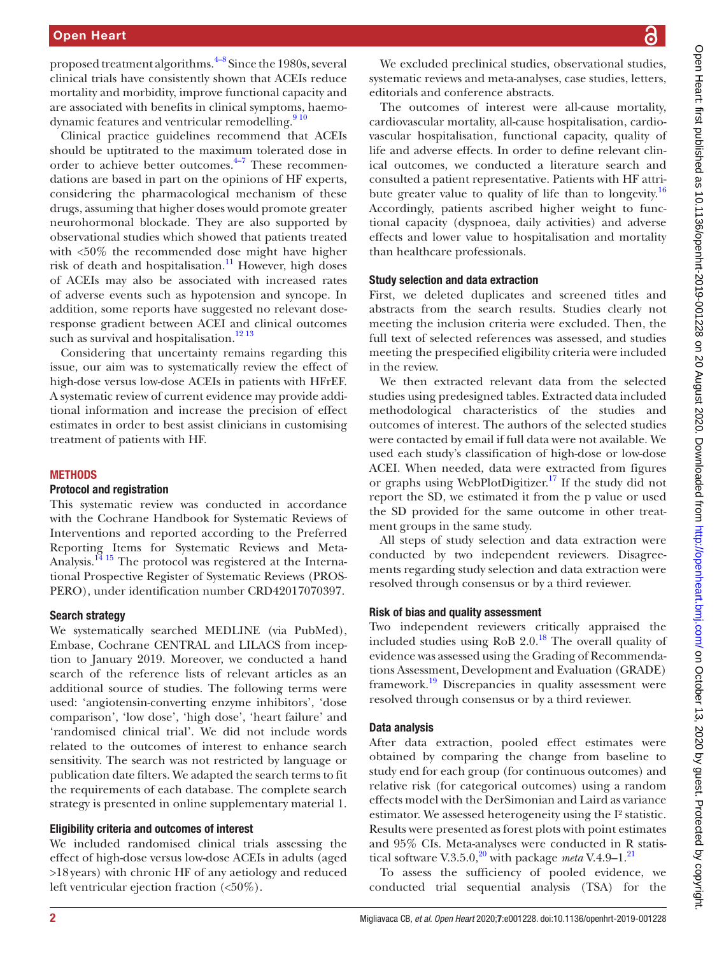proposed treatment algorithms.<sup>4-8</sup> Since the 1980s, several clinical trials have consistently shown that ACEIs reduce mortality and morbidity, improve functional capacity and are associated with benefits in clinical symptoms, haemodynamic features and ventricular remodelling.<sup>910</sup>

Clinical practice guidelines recommend that ACEIs should be uptitrated to the maximum tolerated dose in order to achieve better outcomes. $4-7$  These recommendations are based in part on the opinions of HF experts, considering the pharmacological mechanism of these drugs, assuming that higher doses would promote greater neurohormonal blockade. They are also supported by observational studies which showed that patients treated with <50% the recommended dose might have higher risk of death and hospitalisation. $11$  However, high doses of ACEIs may also be associated with increased rates of adverse events such as hypotension and syncope. In addition, some reports have suggested no relevant doseresponse gradient between ACEI and clinical outcomes such as survival and hospitalisation. $^{12\ 13}$ 

Considering that uncertainty remains regarding this issue, our aim was to systematically review the effect of high-dose versus low-dose ACEIs in patients with HFrEF. A systematic review of current evidence may provide additional information and increase the precision of effect estimates in order to best assist clinicians in customising treatment of patients with HF.

# **METHODS**

#### Protocol and registration

This systematic review was conducted in accordance with the Cochrane Handbook for Systematic Reviews of Interventions and reported according to the Preferred Reporting Items for Systematic Reviews and Meta-Analysis[.14 15](#page-6-0) The protocol was registered at the International Prospective Register of Systematic Reviews (PROS-PERO), under identification number CRD42017070397.

# Search strategy

We systematically searched MEDLINE (via PubMed), Embase, Cochrane CENTRAL and LILACS from inception to January 2019. Moreover, we conducted a hand search of the reference lists of relevant articles as an additional source of studies. The following terms were used: 'angiotensin-converting enzyme inhibitors', 'dose comparison', 'low dose', 'high dose', 'heart failure' and 'randomised clinical trial'. We did not include words related to the outcomes of interest to enhance search sensitivity. The search was not restricted by language or publication date filters. We adapted the search terms to fit the requirements of each database. The complete search strategy is presented in [online supplementary material 1.](https://dx.doi.org/10.1136/openhrt-2019-001228)

# Eligibility criteria and outcomes of interest

We included randomised clinical trials assessing the effect of high-dose versus low-dose ACEIs in adults (aged >18years) with chronic HF of any aetiology and reduced left ventricular ejection fraction (<50%).

Open Heart: first published as 10.1136/openhrt-2019-001228 on 20 August 2020. Downloaded from http://openheart.bmj.com/ on October 13, 2020 by guest. Protected by copyright Open Heart: first published as 10.1136/openhrt-2019-001228 on 20 August 2020. Downloaded from <http://openheart.bmj.com/> on October 13, 2020 by guest. Protected by copyright

We excluded preclinical studies, observational studies, systematic reviews and meta-analyses, case studies, letters, editorials and conference abstracts.

The outcomes of interest were all-cause mortality, cardiovascular mortality, all-cause hospitalisation, cardiovascular hospitalisation, functional capacity, quality of life and adverse effects. In order to define relevant clinical outcomes, we conducted a literature search and consulted a patient representative. Patients with HF attri-bute greater value to quality of life than to longevity.<sup>[16](#page-6-1)</sup> Accordingly, patients ascribed higher weight to functional capacity (dyspnoea, daily activities) and adverse effects and lower value to hospitalisation and mortality than healthcare professionals.

# Study selection and data extraction

First, we deleted duplicates and screened titles and abstracts from the search results. Studies clearly not meeting the inclusion criteria were excluded. Then, the full text of selected references was assessed, and studies meeting the prespecified eligibility criteria were included in the review.

We then extracted relevant data from the selected studies using predesigned tables. Extracted data included methodological characteristics of the studies and outcomes of interest. The authors of the selected studies were contacted by email if full data were not available. We used each study's classification of high-dose or low-dose ACEI. When needed, data were extracted from figures or graphs using WebPlotDigitizer.[17](#page-6-2) If the study did not report the SD, we estimated it from the p value or used the SD provided for the same outcome in other treatment groups in the same study.

All steps of study selection and data extraction were conducted by two independent reviewers. Disagreements regarding study selection and data extraction were resolved through consensus or by a third reviewer.

# Risk of bias and quality assessment

Two independent reviewers critically appraised the included studies using RoB  $2.0<sup>18</sup>$  The overall quality of evidence was assessed using the Grading of Recommendations Assessment, Development and Evaluation (GRADE) framework.<sup>19</sup> Discrepancies in quality assessment were resolved through consensus or by a third reviewer.

# Data analysis

After data extraction, pooled effect estimates were obtained by comparing the change from baseline to study end for each group (for continuous outcomes) and relative risk (for categorical outcomes) using a random effects model with the DerSimonian and Laird as variance estimator. We assessed heterogeneity using the I² statistic. Results were presented as forest plots with point estimates and 95% CIs. Meta-analyses were conducted in R statis-tical software V.3.5.0,<sup>[20](#page-6-5)</sup> with package *meta* V.4.9–1.<sup>[21](#page-6-6)</sup>

To assess the sufficiency of pooled evidence, we conducted trial sequential analysis (TSA) for the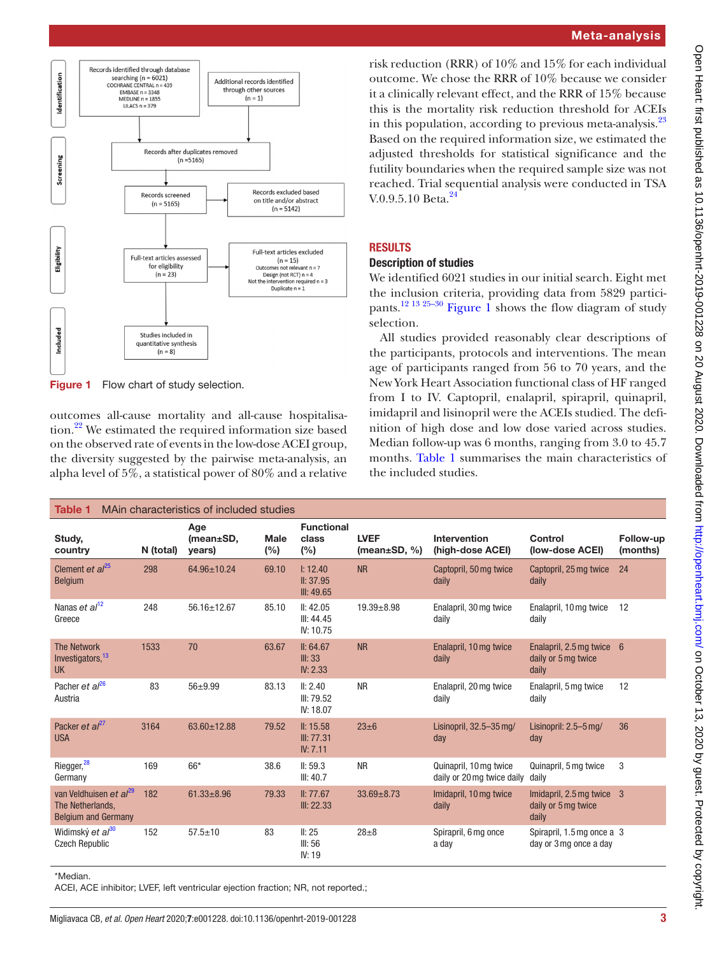

<span id="page-2-0"></span>Figure 1 Flow chart of study selection.

outcomes all-cause mortality and all-cause hospitalisation.<sup>22</sup> We estimated the required information size based on the observed rate of events in the low-dose ACEI group, the diversity suggested by the pairwise meta-analysis, an alpha level of 5%, a statistical power of 80% and a relative

risk reduction (RRR) of 10% and 15% for each individual outcome. We chose the RRR of 10% because we consider it a clinically relevant effect, and the RRR of 15% because this is the mortality risk reduction threshold for ACEIs in this population, according to previous meta-analysis. $^{23}$  $^{23}$  $^{23}$ 

Based on the required information size, we estimated the adjusted thresholds for statistical significance and the futility boundaries when the required sample size was not reached. Trial sequential analysis were conducted in TSA V.0.9.5.10 Beta. $^{24}$ 

# RESULTS

# Description of studies

We identified 6021 studies in our initial search. Eight met the inclusion criteria, providing data from 5829 partici-pants.<sup>[12 13 25–30](#page-5-4)</sup> [Figure](#page-2-0) 1 shows the flow diagram of study selection.

All studies provided reasonably clear descriptions of the participants, protocols and interventions. The mean age of participants ranged from 56 to 70 years, and the New York Heart Association functional class of HF ranged from I to IV. Captopril, enalapril, spirapril, quinapril, imidapril and lisinopril were the ACEIs studied. The definition of high dose and low dose varied across studies. Median follow-up was 6 months, ranging from 3.0 to 45.7 months. [Table](#page-2-1) 1 summarises the main characteristics of the included studies.

<span id="page-2-1"></span>

| MAin characteristics of included studies<br><b>Table 1</b>                           |           |                            |                    |                                      |                                   |                                                      |                                                         |                       |  |  |  |  |
|--------------------------------------------------------------------------------------|-----------|----------------------------|--------------------|--------------------------------------|-----------------------------------|------------------------------------------------------|---------------------------------------------------------|-----------------------|--|--|--|--|
| Study,<br>country                                                                    | N (total) | Age<br>(mean±SD,<br>years) | <b>Male</b><br>(%) | <b>Functional</b><br>class<br>$(\%)$ | <b>LVEF</b><br>(mean $\pm$ SD, %) | Intervention<br>(high-dose ACEI)                     | Control<br>(low-dose ACEI)                              | Follow-up<br>(months) |  |  |  |  |
| Clement et $al^{25}$<br><b>Belgium</b>                                               | 298       | 64.96±10.24                | 69.10              | 1: 12.40<br>II: 37.95<br>III: 49.65  | <b>NR</b>                         | Captopril, 50 mg twice<br>daily                      | Captopril, 25 mg twice<br>daily                         | 24                    |  |  |  |  |
| Nanas et $a12$<br>Greece                                                             | 248       | 56.16±12.67                | 85.10              | II: 42.05<br>III: 44.45<br>IV: 10.75 | $19.39 + 8.98$                    | Enalapril, 30 mg twice<br>daily                      | Enalapril, 10 mg twice<br>daily                         | 12                    |  |  |  |  |
| <b>The Network</b><br>Investigators, <sup>13</sup><br><b>UK</b>                      | 1533      | 70                         | 63.67              | II: 64.67<br>III: 33<br>IV: 2.33     | <b>NR</b>                         | Enalapril, 10 mg twice<br>daily                      | Enalapril, 2.5 mg twice<br>daily or 5 mg twice<br>daily | $6\phantom{1}6$       |  |  |  |  |
| Pacher et al <sup>26</sup><br>Austria                                                | 83        | $56 + 9.99$                | 83.13              | II: 2.40<br>III: 79.52<br>IV: 18.07  | <b>NR</b>                         | Enalapril, 20 mg twice<br>daily                      | Enalapril, 5 mg twice<br>daily                          | 12                    |  |  |  |  |
| Packer et al <sup>27</sup><br><b>USA</b>                                             | 3164      | 63.60±12.88                | 79.52              | II: 15.58<br>III: 77.31<br>IV: 7.11  | $23\pm 6$                         | Lisinopril, 32.5-35 mg/<br>day                       | Lisinopril: 2.5-5 mg/<br>day                            | 36                    |  |  |  |  |
| Riegger, <sup>28</sup><br>Germany                                                    | 169       | $66*$                      | 38.6               | II: 59.3<br>III: 40.7                | <b>NR</b>                         | Quinapril, 10 mg twice<br>daily or 20 mg twice daily | Quinapril, 5 mg twice<br>daily                          | 3                     |  |  |  |  |
| van Veldhuisen et al <sup>29</sup><br>The Netherlands,<br><b>Belgium and Germany</b> | 182       | $61.33 \pm 8.96$           | 79.33              | II: 77.67<br>III: 22.33              | $33.69 \pm 8.73$                  | Imidapril, 10 mg twice<br>daily                      | Imidapril, 2.5 mg twice<br>daily or 5 mg twice<br>daily | 3                     |  |  |  |  |
| Widimský et al <sup>30</sup><br><b>Czech Republic</b>                                | 152       | $57.5 \pm 10$              | 83                 | II: 25<br>III:56<br>IV:19            | $28 + 8$                          | Spirapril, 6 mg once<br>a day                        | Spirapril, 1.5 mg once a 3<br>day or 3 mg once a day    |                       |  |  |  |  |

\*Median.

ACEI, ACE inhibitor; LVEF, left ventricular ejection fraction; NR, not reported.;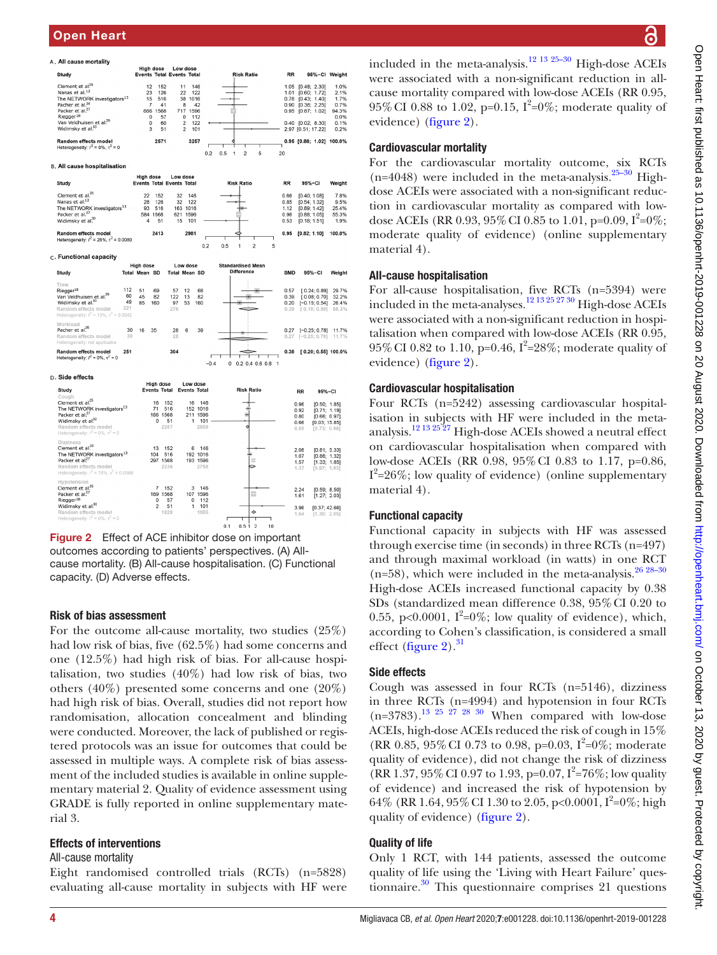| <b>4.All cause mortality</b>                                                                                                                                                                                                                   |                                          |                                                                                       |                          |                                                   |                                            |                                          |                                              |                                                                                                       |                                                  |
|------------------------------------------------------------------------------------------------------------------------------------------------------------------------------------------------------------------------------------------------|------------------------------------------|---------------------------------------------------------------------------------------|--------------------------|---------------------------------------------------|--------------------------------------------|------------------------------------------|----------------------------------------------|-------------------------------------------------------------------------------------------------------|--------------------------------------------------|
| Study                                                                                                                                                                                                                                          |                                          | <b>High dose</b><br><b>Events Total Events Total</b>                                  |                          | Low dose                                          |                                            | <b>Risk Ratio</b>                        | <b>RR</b>                                    | 95%-Cl Weight                                                                                         |                                                  |
| Clement et al. <sup>25</sup><br>Nanas et al. <sup>12</sup><br>The NETWORK investigators <sup>13</sup><br>Pacher et al. <sup>26</sup><br>Packer et al. <sup>27</sup><br>Riegger <sup>28</sup>                                                   |                                          | 152<br>12<br>23<br>126<br>15<br>516<br>$\overline{7}$<br>41<br>666<br>1568<br>0<br>57 |                          | 11<br>22<br>38 1016<br>8<br>717 1596<br>$\Omega$  | 146<br>122<br>42<br>112                    |                                          |                                              | 1.05 [0.48; 2.30]<br>1.01 [0.60; 1.72]<br>0.78 [0.43; 1.40]<br>0.90 [0.36; 2.25]<br>0.95 [0.87; 1.02] | 1.0%<br>2.1%<br>1.7%<br>0.7%<br>94.3%<br>0.0%    |
| Van Veldhuisen et al. <sup>29</sup><br>Widimsky et al. <sup>30</sup>                                                                                                                                                                           |                                          | $\mathbf 0$<br>60<br>3<br>51                                                          |                          | $\overline{c}$<br>$\overline{2}$                  | 122<br>101                                 |                                          |                                              | 0.40 [0.02; 8.30]<br>2.97 [0.51; 17.22]                                                               | 0.1%<br>0.2%                                     |
| Random effects model<br>Heterogeneity: $I^2 = 0\%$ , $\tau^2 = 0$                                                                                                                                                                              |                                          | 2571                                                                                  |                          | 3257                                              | 0.2                                        | 5<br>$\overline{\mathbf{c}}$<br>0.5<br>1 | 20                                           | 0.95 [0.88; 1.02] 100.0%                                                                              |                                                  |
| B. All cause hospitalisation                                                                                                                                                                                                                   |                                          |                                                                                       |                          |                                                   |                                            |                                          |                                              |                                                                                                       |                                                  |
| Study                                                                                                                                                                                                                                          |                                          | <b>High dose</b><br>Events Total Events Total                                         |                          | Low dose                                          |                                            | <b>Risk Ratio</b>                        | <b>RR</b>                                    | 95%-CI                                                                                                | Weight                                           |
| Clement et al. <sup>25</sup><br>Nanas et al. <sup>12</sup><br>The NETWORK investigators <sup>13</sup><br>Packer et al. <sup>27</sup><br>Widimsky et al. <sup>30</sup><br>Random effects model<br>Heterogeneity: $l^2$ = 28%, $\tau^2$ = 0.0080 |                                          | 22<br>152<br>28<br>126<br>93<br>516<br>584 1568<br>$\overline{4}$<br>51<br>2413       | 32<br>32<br>15           | 146<br>122<br>163 1016<br>621 1596<br>101<br>2981 |                                            |                                          | 0.66<br>0.85<br>1.12<br>0.96<br>0.53<br>0.95 | [0.40; 1.08]<br>[0.54; 1.32]<br>[0.89; 1.42]<br>[0.88; 1.05]<br>[0.18; 1.51]<br>[0.82; 1.10]          | 7.8%<br>9.5%<br>25.4%<br>55.3%<br>1.9%<br>100.0% |
|                                                                                                                                                                                                                                                |                                          |                                                                                       |                          |                                                   | 0.2                                        | 0.5<br>1<br>2<br>5                       |                                              |                                                                                                       |                                                  |
| $_\mathsf{C}.$ Functional capacity                                                                                                                                                                                                             | <b>High dose</b>                         |                                                                                       |                          | Low dose                                          |                                            | <b>Standardised Mean</b>                 |                                              |                                                                                                       |                                                  |
| Study                                                                                                                                                                                                                                          | Total Mean SD                            |                                                                                       | <b>Total Mean SD</b>     |                                                   |                                            | <b>Difference</b>                        | <b>SMD</b>                                   | 95%-CI                                                                                                | Weight                                           |
| Time<br>Riegger <sup>28</sup><br>Van Veldhuisen et al. <sup>29</sup><br>Widimsky et al. <sup>30</sup><br>Random effects model<br>Heterogeneity: $l^2 = 13\%$ , $\tau^2 = 0.0042$                                                               | 112<br>51<br>60<br>45<br>49<br>85<br>221 | 69<br>82<br>160                                                                       | 57<br>122<br>97<br>276   | 12<br>13<br>53                                    | 68<br>82<br>160                            |                                          | 0.57<br>0.39<br>0.20<br>0.39                 | [0.24; 0.89]<br>[0.08; 0.70]<br>$[-0.15; 0.54]$<br>[0.19; 0.59]                                       | 29.7%<br>32.2%<br>26.4%<br>88.3%                 |
| Workload<br>Pacher et al. <sup>26</sup><br>Random effects model<br>Heterogeneity: not applicable                                                                                                                                               | 30<br>16<br>30                           | 35                                                                                    | 28<br>28                 | 6                                                 | 39                                         |                                          | 0.27<br>0.27                                 | $[-0.25; 0.78]$<br>$[-0.25; 0.78]$                                                                    | 11.7%<br>11.7%                                   |
| Random effects model<br>Heterogeneity: $l^2 = 0\%$ , $\tau^2 = 0$                                                                                                                                                                              | 251                                      |                                                                                       | 304                      |                                                   | $-0.4$                                     | $0.2$ 0.4 0.6 0.8<br>0<br>$\overline{1}$ | 0.38                                         | [0.20; 0.55] 100.0%                                                                                   |                                                  |
| D. Side effects                                                                                                                                                                                                                                |                                          |                                                                                       |                          |                                                   |                                            |                                          |                                              |                                                                                                       |                                                  |
| Study                                                                                                                                                                                                                                          |                                          | <b>High dose</b><br>Events Total                                                      |                          | Low dose<br><b>Events Total</b>                   |                                            | <b>Risk Ratio</b>                        |                                              | 95%-CI<br><b>RR</b>                                                                                   |                                                  |
| Cough<br>Clement et al. <sup>25</sup><br>The NETWORK investigators <sup>13</sup><br>Packer et al. <sup>27</sup><br>Widimsky et al. <sup>30</sup><br>Random effects model<br>Heterogeneity: $I^2 = 0\%$ , $\tau^2 = 0$                          |                                          | 16<br>71<br>166 1568<br>$\mathbf 0$                                                   | 152<br>516<br>51<br>2287 | 16<br>1                                           | 146<br>152 1016<br>211 1596<br>101<br>2859 |                                          |                                              | 0.96<br>0.92<br>0.80<br>0.66<br>[0.03; 15.85]<br>0.85<br>[0.73; 0.98]                                 | [0.50; 1.85]<br>[0.71; 1.19]<br>[0.66; 0.97]     |
| Dizziness<br>Clement et al. <sup>25</sup><br>The NETWORK investigators <sup>13</sup><br>Packer et al. <sup>27</sup><br>Random effects model<br>Heterogeneity: $l^2 = 76\%$ , $\tau^2 = 0.0588$                                                 |                                          | 13<br>104<br>297 1568                                                                 | 152<br>516<br>2236       | 6                                                 | 146<br>192 1016<br>193 1596<br>2758        | 圜<br>≏                                   |                                              | 2.08<br>1.07<br>1.57<br>1.37<br>[0.97; 1.93]                                                          | [0.81; 5.33]<br>[0.86; 1.32]<br>[1.33; 1.85]     |
| Hypotension<br>Clement et al. <sup>25</sup><br>Packer et al. <sup>27</sup><br>Riegger <sup>28</sup><br>Widimsky et al. <sup>30</sup>                                                                                                           |                                          | 7<br>169 1568<br>0<br>$\overline{\mathbf{c}}$                                         | 152<br>57<br>51          | 3<br>0<br>1                                       | 146<br>107 1596<br>112<br>101              |                                          |                                              | 2.24<br>1.61                                                                                          | [0.59; 8.50]<br>[1.27; 2.03]                     |
| Random effects model<br>Heterogeneity: $I^2 = 0\%$ , $\tau^2 = 0$                                                                                                                                                                              |                                          |                                                                                       | 1828                     |                                                   | 1955                                       | Δ                                        |                                              | 3.96<br>[0.37; 42.66]<br>1.64<br>[1.30; 2.05]                                                         |                                                  |

<span id="page-3-0"></span>**Figure 2** Effect of ACE inhibitor dose on important outcomes according to patients' perspectives. (A) Allcause mortality. (B) All-cause hospitalisation. (C) Functional capacity. (D) Adverse effects.

# Risk of bias assessment

For the outcome all-cause mortality, two studies (25%) had low risk of bias, five (62.5%) had some concerns and one (12.5%) had high risk of bias. For all-cause hospitalisation, two studies (40%) had low risk of bias, two others (40%) presented some concerns and one (20%) had high risk of bias. Overall, studies did not report how randomisation, allocation concealment and blinding were conducted. Moreover, the lack of published or registered protocols was an issue for outcomes that could be assessed in multiple ways. A complete risk of bias assessment of the included studies is available in [online supple](https://dx.doi.org/10.1136/openhrt-2019-001228)[mentary material 2.](https://dx.doi.org/10.1136/openhrt-2019-001228) Quality of evidence assessment using GRADE is fully reported in [online supplementary mate](https://dx.doi.org/10.1136/openhrt-2019-001228)[rial 3.](https://dx.doi.org/10.1136/openhrt-2019-001228)

#### Effects of interventions

#### All-cause mortality

Eight randomised controlled trials (RCTs) (n=5828) evaluating all-cause mortality in subjects with HF were

included in the meta-analysis.<sup>12 13 25–30</sup> High-dose ACEIs were associated with a non-significant reduction in allcause mortality compared with low-dose ACEIs (RR 0.95, 95% CI 0.88 to 1.02, p=0.15,  $I^2=0\%$ ; moderate quality of evidence) ([figure](#page-3-0) 2).

# Cardiovascular mortality

For the cardiovascular mortality outcome, six RCTs  $(n=4048)$  were included in the meta-analysis.<sup>25–30</sup> Highdose ACEIs were associated with a non-significant reduction in cardiovascular mortality as compared with lowdose ACEIs (RR 0.93, 95% CI 0.85 to 1.01, p=0.09,  $I^2=0\%$ ; moderate quality of evidence) [\(online supplementary](https://dx.doi.org/10.1136/openhrt-2019-001228)  [material 4\)](https://dx.doi.org/10.1136/openhrt-2019-001228).

# All-cause hospitalisation

For all-cause hospitalisation, five RCTs (n=5394) were included in the meta-analyses.<sup>12 13 25 27 30</sup> High-dose ACEIs</sub> were associated with a non-significant reduction in hospitalisation when compared with low-dose ACEIs (RR 0.95, 95% CI 0.82 to 1.10, p=0.46,  $I^2 = 28\%$ ; moderate quality of evidence) ([figure](#page-3-0) 2).

# Cardiovascular hospitalisation

Four RCTs (n=5242) assessing cardiovascular hospitalisation in subjects with HF were included in the metaanalysis[.12 13 25 27](#page-5-4) High-dose ACEIs showed a neutral effect on cardiovascular hospitalisation when compared with low-dose ACEIs (RR 0.98, 95%CI 0.83 to 1.17, p=0.86,  $I^2$ =26%; low quality of evidence) (online supplementary [material 4\)](https://dx.doi.org/10.1136/openhrt-2019-001228).

# Functional capacity

Functional capacity in subjects with HF was assessed through exercise time (in seconds) in three RCTs (n=497) and through maximal workload (in watts) in one RCT  $(n=58)$ , which were included in the meta-analysis.<sup>[26 28–30](#page-6-11)</sup> High-dose ACEIs increased functional capacity by 0.38 SDs (standardized mean difference 0.38, 95%CI 0.20 to 0.55, p<0.0001,  $I^2=0\%$ ; low quality of evidence), which, according to Cohen's classification, is considered a small effect [\(figure](#page-3-0) 2). $^{31}$  $^{31}$  $^{31}$ 

# Side effects

Cough was assessed in four RCTs (n=5146), dizziness in three RCTs (n=4994) and hypotension in four RCTs  $(n=3783)$ .<sup>13 25 27 28 30</sup> When compared with low-dose ACEIs, high-dose ACEIs reduced the risk of cough in 15% (RR 0.85, 95% CI 0.73 to 0.98, p=0.03, I<sup>2</sup>=0%; moderate quality of evidence), did not change the risk of dizziness (RR 1.37, 95% CI 0.97 to 1.93, p=0.07,  $I^2$ =76%; low quality of evidence) and increased the risk of hypotension by 64% (RR 1.64, 95% CI 1.30 to 2.05, p<0.0001,  $I^2=0\%$ ; high quality of evidence) ([figure](#page-3-0) 2).

# Quality of life

Only 1 RCT, with 144 patients, assessed the outcome quality of life using the 'Living with Heart Failure' questionnaire. $30$  This questionnaire comprises 21 questions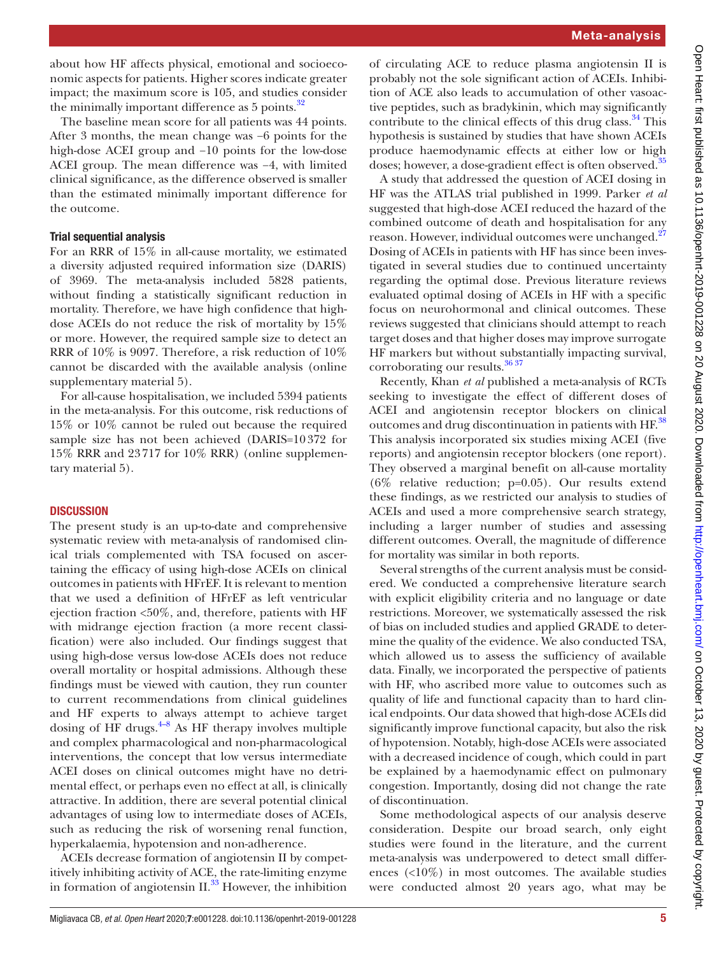about how HF affects physical, emotional and socioeconomic aspects for patients. Higher scores indicate greater impact; the maximum score is 105, and studies consider the minimally important difference as  $5$  points.<sup>32</sup>

The baseline mean score for all patients was 44 points. After 3 months, the mean change was −6 points for the high-dose ACEI group and −10 points for the low-dose ACEI group. The mean difference was −4, with limited clinical significance, as the difference observed is smaller than the estimated minimally important difference for the outcome.

# Trial sequential analysis

For an RRR of 15% in all-cause mortality, we estimated a diversity adjusted required information size (DARIS) of 3969. The meta-analysis included 5828 patients, without finding a statistically significant reduction in mortality. Therefore, we have high confidence that highdose ACEIs do not reduce the risk of mortality by 15% or more. However, the required sample size to detect an RRR of 10% is 9097. Therefore, a risk reduction of 10% cannot be discarded with the available analysis [\(online](https://dx.doi.org/10.1136/openhrt-2019-001228) [supplementary material 5\)](https://dx.doi.org/10.1136/openhrt-2019-001228).

For all-cause hospitalisation, we included 5394 patients in the meta-analysis. For this outcome, risk reductions of 15% or 10% cannot be ruled out because the required sample size has not been achieved (DARIS=10372 for 15% RRR and 23717 for 10% RRR) [\(online supplemen](https://dx.doi.org/10.1136/openhrt-2019-001228)[tary material 5](https://dx.doi.org/10.1136/openhrt-2019-001228)).

# **DISCUSSION**

The present study is an up-to-date and comprehensive systematic review with meta-analysis of randomised clinical trials complemented with TSA focused on ascertaining the efficacy of using high-dose ACEIs on clinical outcomes in patients with HFrEF. It is relevant to mention that we used a definition of HFrEF as left ventricular ejection fraction <50%, and, therefore, patients with HF with midrange ejection fraction (a more recent classification) were also included. Our findings suggest that using high-dose versus low-dose ACEIs does not reduce overall mortality or hospital admissions. Although these findings must be viewed with caution, they run counter to current recommendations from clinical guidelines and HF experts to always attempt to achieve target dosing of HF drugs. $4-8$  As HF therapy involves multiple and complex pharmacological and non-pharmacological interventions, the concept that low versus intermediate ACEI doses on clinical outcomes might have no detrimental effect, or perhaps even no effect at all, is clinically attractive. In addition, there are several potential clinical advantages of using low to intermediate doses of ACEIs, such as reducing the risk of worsening renal function, hyperkalaemia, hypotension and non-adherence.

ACEIs decrease formation of angiotensin II by competitively inhibiting activity of ACE, the rate-limiting enzyme in formation of angiotensin  $II^{33}$  However, the inhibition

of circulating ACE to reduce plasma angiotensin II is probably not the sole significant action of ACEIs. Inhibition of ACE also leads to accumulation of other vasoactive peptides, such as bradykinin, which may significantly contribute to the clinical effects of this drug class.<sup>34</sup> This hypothesis is sustained by studies that have shown ACEIs produce haemodynamic effects at either low or high doses; however, a dose-gradient effect is often observed.<sup>[35](#page-6-20)</sup>

A study that addressed the question of ACEI dosing in HF was the ATLAS trial published in 1999. Parker *et al* suggested that high-dose ACEI reduced the hazard of the combined outcome of death and hospitalisation for any reason. However, individual outcomes were unchanged.<sup>[27](#page-6-12)</sup> Dosing of ACEIs in patients with HF has since been investigated in several studies due to continued uncertainty regarding the optimal dose. Previous literature reviews evaluated optimal dosing of ACEIs in HF with a specific focus on neurohormonal and clinical outcomes. These reviews suggested that clinicians should attempt to reach target doses and that higher doses may improve surrogate HF markers but without substantially impacting survival, corroborating our results. $3637$ 

Recently, Khan *et al* published a meta-analysis of RCTs seeking to investigate the effect of different doses of ACEI and angiotensin receptor blockers on clinical outcomes and drug discontinuation in patients with HF.<sup>[38](#page-6-22)</sup> This analysis incorporated six studies mixing ACEI (five reports) and angiotensin receptor blockers (one report). They observed a marginal benefit on all-cause mortality (6% relative reduction; p=0.05). Our results extend these findings, as we restricted our analysis to studies of ACEIs and used a more comprehensive search strategy, including a larger number of studies and assessing different outcomes. Overall, the magnitude of difference for mortality was similar in both reports.

Several strengths of the current analysis must be considered. We conducted a comprehensive literature search with explicit eligibility criteria and no language or date restrictions. Moreover, we systematically assessed the risk of bias on included studies and applied GRADE to determine the quality of the evidence. We also conducted TSA, which allowed us to assess the sufficiency of available data. Finally, we incorporated the perspective of patients with HF, who ascribed more value to outcomes such as quality of life and functional capacity than to hard clinical endpoints. Our data showed that high-dose ACEIs did significantly improve functional capacity, but also the risk of hypotension. Notably, high-dose ACEIs were associated with a decreased incidence of cough, which could in part be explained by a haemodynamic effect on pulmonary congestion. Importantly, dosing did not change the rate of discontinuation.

Some methodological aspects of our analysis deserve consideration. Despite our broad search, only eight studies were found in the literature, and the current meta-analysis was underpowered to detect small differences (<10%) in most outcomes. The available studies were conducted almost 20 years ago, what may be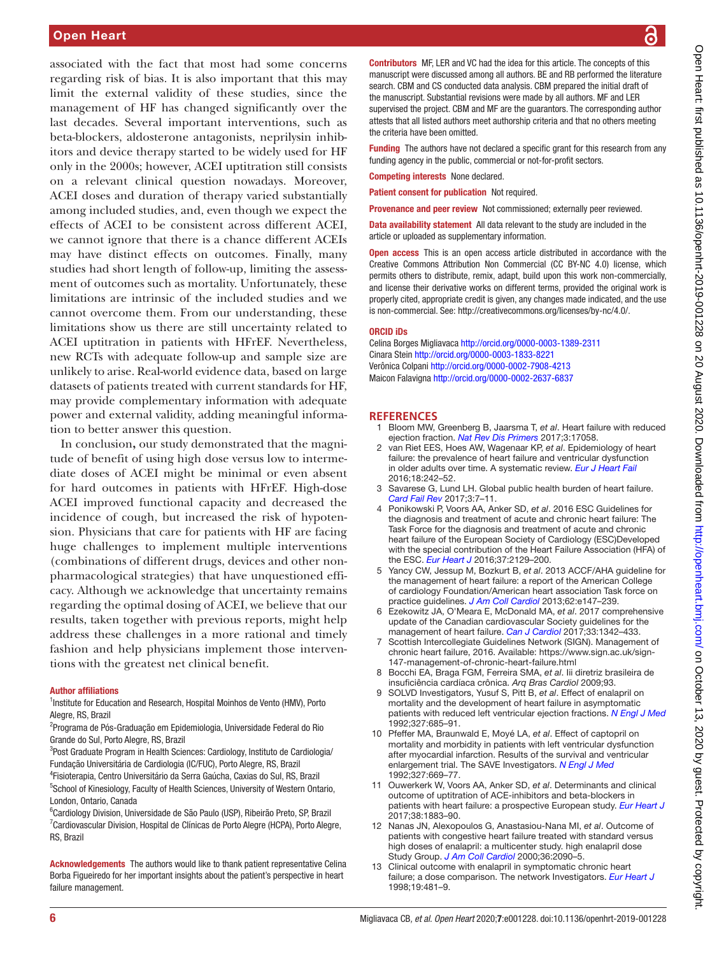associated with the fact that most had some concerns regarding risk of bias. It is also important that this may limit the external validity of these studies, since the management of HF has changed significantly over the last decades. Several important interventions, such as beta-blockers, aldosterone antagonists, neprilysin inhibitors and device therapy started to be widely used for HF only in the 2000s; however, ACEI uptitration still consists on a relevant clinical question nowadays. Moreover, ACEI doses and duration of therapy varied substantially among included studies, and, even though we expect the effects of ACEI to be consistent across different ACEI, we cannot ignore that there is a chance different ACEIs may have distinct effects on outcomes. Finally, many studies had short length of follow-up, limiting the assessment of outcomes such as mortality. Unfortunately, these limitations are intrinsic of the included studies and we cannot overcome them. From our understanding, these limitations show us there are still uncertainty related to ACEI uptitration in patients with HFrEF. Nevertheless, new RCTs with adequate follow-up and sample size are unlikely to arise. Real-world evidence data, based on large datasets of patients treated with current standards for HF, may provide complementary information with adequate power and external validity, adding meaningful information to better answer this question.

In conclusion**,** our study demonstrated that the magnitude of benefit of using high dose versus low to intermediate doses of ACEI might be minimal or even absent for hard outcomes in patients with HFrEF. High-dose ACEI improved functional capacity and decreased the incidence of cough, but increased the risk of hypotension. Physicians that care for patients with HF are facing huge challenges to implement multiple interventions (combinations of different drugs, devices and other nonpharmacological strategies) that have unquestioned efficacy. Although we acknowledge that uncertainty remains regarding the optimal dosing of ACEI, we believe that our results, taken together with previous reports, might help address these challenges in a more rational and timely fashion and help physicians implement those interventions with the greatest net clinical benefit.

#### Author affiliations

<sup>1</sup>Institute for Education and Research, Hospital Moinhos de Vento (HMV), Porto Alegre, RS, Brazil

<sup>2</sup>Programa de Pós-Graduação em Epidemiologia, Universidade Federal do Rio Grande do Sul, Porto Alegre, RS, Brazil

<sup>3</sup>Post Graduate Program in Health Sciences: Cardiology, Instituto de Cardiologia/ Fundação Universitária de Cardiologia (IC/FUC), Porto Alegre, RS, Brazil

4 Fisioterapia, Centro Universitário da Serra Gaúcha, Caxias do Sul, RS, Brazil <sup>5</sup>School of Kinesiology, Faculty of Health Sciences, University of Western Ontario, London, Ontario, Canada

<sup>6</sup>Cardiology Division, Universidade de São Paulo (USP), Ribeirão Preto, SP, Brazil <sup>7</sup> Cardiovascular Division, Hospital de Clínicas de Porto Alegre (HCPA), Porto Alegre, RS, Brazil

Acknowledgements The authors would like to thank patient representative Celina Borba Figueiredo for her important insights about the patient's perspective in heart failure management.

Contributors MF, LER and VC had the idea for this article. The concepts of this manuscript were discussed among all authors. BE and RB performed the literature search. CBM and CS conducted data analysis. CBM prepared the initial draft of the manuscript. Substantial revisions were made by all authors. MF and LER supervised the project. CBM and MF are the guarantors. The corresponding author attests that all listed authors meet authorship criteria and that no others meeting the criteria have been omitted.

Funding The authors have not declared a specific grant for this research from any funding agency in the public, commercial or not-for-profit sectors.

Competing interests None declared.

Patient consent for publication Not required.

Provenance and peer review Not commissioned; externally peer reviewed.

Data availability statement All data relevant to the study are included in the article or uploaded as supplementary information.

**Open access** This is an open access article distributed in accordance with the Creative Commons Attribution Non Commercial (CC BY-NC 4.0) license, which permits others to distribute, remix, adapt, build upon this work non-commercially, and license their derivative works on different terms, provided the original work is properly cited, appropriate credit is given, any changes made indicated, and the use is non-commercial. See: [http://creativecommons.org/licenses/by-nc/4.0/.](http://creativecommons.org/licenses/by-nc/4.0/)

#### ORCID iDs

Celina Borges Migliavaca<http://orcid.org/0000-0003-1389-2311> Cinara Stein <http://orcid.org/0000-0003-1833-8221> Verônica Colpani <http://orcid.org/0000-0002-7908-4213> Maicon Falavigna<http://orcid.org/0000-0002-2637-6837>

#### **REFERENCES**

- <span id="page-5-0"></span>1 Bloom MW, Greenberg B, Jaarsma T, *et al*. Heart failure with reduced ejection fraction. *[Nat Rev Dis Primers](http://dx.doi.org/10.1038/nrdp.2017.58)* 2017;3:17058.
- 2 van Riet EES, Hoes AW, Wagenaar KP, *et al*. Epidemiology of heart failure: the prevalence of heart failure and ventricular dysfunction in older adults over time. A systematic review. *[Eur J Heart Fail](http://dx.doi.org/10.1002/ejhf.483)* 2016;18:242–52.
- 3 Savarese G, Lund LH. Global public health burden of heart failure. *[Card Fail Rev](http://dx.doi.org/10.15420/cfr.2016:25:2)* 2017;3:7–11.
- <span id="page-5-1"></span>4 Ponikowski P, Voors AA, Anker SD, *et al*. 2016 ESC Guidelines for the diagnosis and treatment of acute and chronic heart failure: The Task Force for the diagnosis and treatment of acute and chronic heart failure of the European Society of Cardiology (ESC)Developed with the special contribution of the Heart Failure Association (HFA) of the ESC. *[Eur Heart J](http://dx.doi.org/10.1093/eurheartj/ehw128)* 2016;37:2129–200.
- 5 Yancy CW, Jessup M, Bozkurt B, *et al*. 2013 ACCF/AHA guideline for the management of heart failure: a report of the American College of cardiology Foundation/American heart association Task force on practice guidelines. *[J Am Coll Cardiol](http://dx.doi.org/10.1016/j.jacc.2013.05.019)* 2013;62:e147–239.
- 6 Ezekowitz JA, O'Meara E, McDonald MA, *et al*. 2017 comprehensive update of the Canadian cardiovascular Society guidelines for the management of heart failure. *[Can J Cardiol](http://dx.doi.org/10.1016/j.cjca.2017.08.022)* 2017;33:1342–433.
- 7 Scottish Intercollegiate Guidelines Network (SIGN). Management of chronic heart failure, 2016. Available: [https://www.sign.ac.uk/sign-](https://www.sign.ac.uk/sign-147-management-of-chronic-heart-failure.html)[147-management-of-chronic-heart-failure.html](https://www.sign.ac.uk/sign-147-management-of-chronic-heart-failure.html)
- 8 Bocchi EA, Braga FGM, Ferreira SMA, *et al*. Iii diretriz brasileira de insuficiência cardíaca crônica. *Arq Bras Cardiol* 2009;93.
- <span id="page-5-2"></span>9 SOLVD Investigators, Yusuf S, Pitt B, *et al*. Effect of enalapril on mortality and the development of heart failure in asymptomatic patients with reduced left ventricular ejection fractions. *[N Engl J Med](http://dx.doi.org/10.1056/NEJM199209033271003)* 1992;327:685–91.
- 10 Pfeffer MA, Braunwald E, Moyé LA, *et al*. Effect of captopril on mortality and morbidity in patients with left ventricular dysfunction after myocardial infarction. Results of the survival and ventricular enlargement trial. The SAVE Investigators. *[N Engl J Med](http://dx.doi.org/10.1056/NEJM199209033271001)* 1992;327:669–77.
- <span id="page-5-3"></span>11 Ouwerkerk W, Voors AA, Anker SD, *et al*. Determinants and clinical outcome of uptitration of ACE-inhibitors and beta-blockers in patients with heart failure: a prospective European study. *[Eur Heart J](http://dx.doi.org/10.1093/eurheartj/ehx026)* 2017;38:1883–90.
- <span id="page-5-4"></span>12 Nanas JN, Alexopoulos G, Anastasiou-Nana MI, *et al*. Outcome of patients with congestive heart failure treated with standard versus high doses of enalapril: a multicenter study. high enalapril dose Study Group. *[J Am Coll Cardiol](http://dx.doi.org/10.1016/S0735-1097(00)01025-1)* 2000;36:2090–5.
- <span id="page-5-5"></span>13 Clinical outcome with enalapril in symptomatic chronic heart failure; a dose comparison. The network Investigators. *[Eur Heart J](http://dx.doi.org/10.1053/euhj.1997.0839)* 1998;19:481–9.